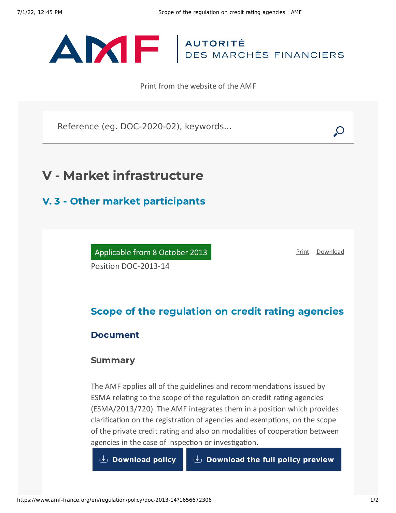

Print from the website of the AMF

Reference (eg. DOC-2020-02), keywords...

# V - Market infrastructure

## V. 3 - Other market participants

Applicable from 8 October 2013 Position DOC-2013-14

[Print](javascript:window.print()) [Download](https://www.amf-france.org/sites/default/files/pdf/62907/en/Scope_of_the_regulation_on_credit_rating_agencies.pdf?1656672308)

### Scope of the regulation on credit rating agencies

### Document

### Summary

The AMF applies all of the guidelines and recommendations issued by ESMA relating to the scope of the regulation on credit rating agencies (ESMA/2013/720). The AMF integrates them in a position which provides clarification on the registration of agencies and exemptions, on the scope of the private credit rating and also on modalities of cooperation between agencies in the case of inspection or investigation.

**[Download](https://www.amf-france.org/sites/default/files/doctrine/en/Position/DOC-2013-14/1.0/Scope%20of%20the%20regulation%20on%20credit%20rating%20agencies.pdf) policy [Download](https://www.amf-france.org/sites/default/files/doctrine/62907/en/DOC-2013-14.zip?1656672308) the full policy preview**